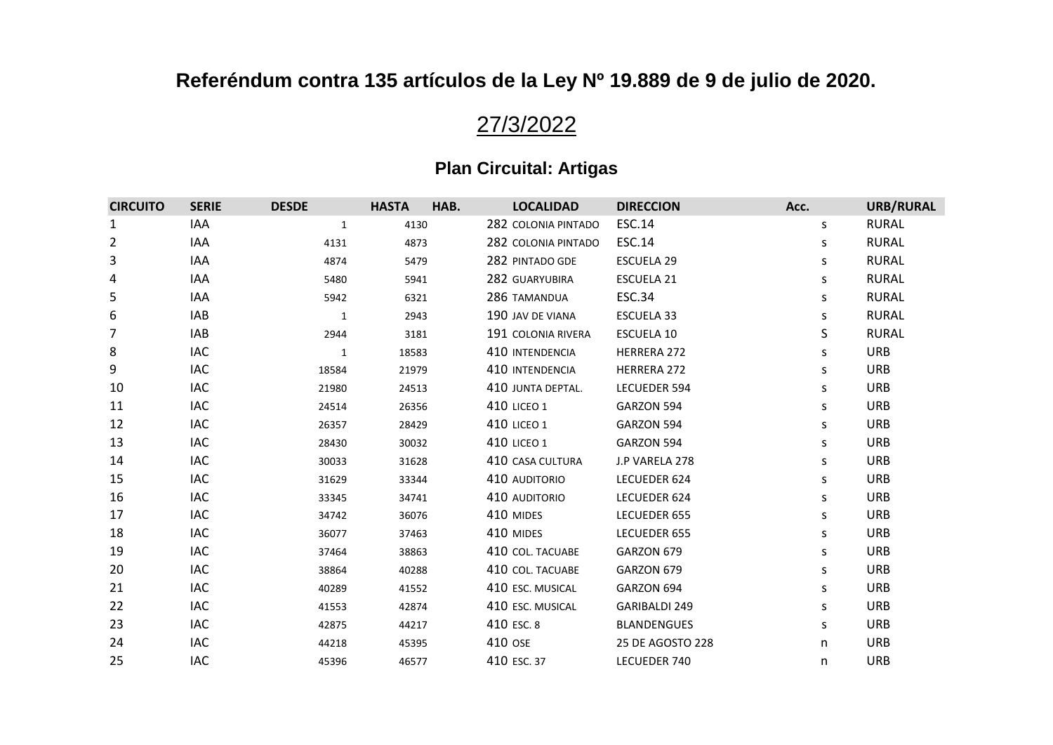# 27/3/2022

| <b>CIRCUITO</b> | <b>SERIE</b> | <b>DESDE</b> | <b>HASTA</b> | HAB. | <b>LOCALIDAD</b>    | <b>DIRECCION</b>     | Acc. | URB/RURAL    |
|-----------------|--------------|--------------|--------------|------|---------------------|----------------------|------|--------------|
| 1               | IAA          | 1            | 4130         |      | 282 COLONIA PINTADO | <b>ESC.14</b>        | S    | <b>RURAL</b> |
| 2               | IAA          | 4131         | 4873         |      | 282 COLONIA PINTADO | ESC.14               | s    | <b>RURAL</b> |
| 3               | IAA          | 4874         | 5479         |      | 282 PINTADO GDE     | <b>ESCUELA 29</b>    | S.   | <b>RURAL</b> |
| 4               | IAA          | 5480         | 5941         |      | 282 GUARYUBIRA      | ESCUELA 21           | s    | <b>RURAL</b> |
| 5               | IAA          | 5942         | 6321         |      | 286 TAMANDUA        | <b>ESC.34</b>        | S    | <b>RURAL</b> |
| 6               | IAB          | $\mathbf{1}$ | 2943         |      | 190 JAV DE VIANA    | ESCUELA 33           | S    | <b>RURAL</b> |
| 7               | <b>IAB</b>   | 2944         | 3181         |      | 191 COLONIA RIVERA  | <b>ESCUELA 10</b>    | S    | <b>RURAL</b> |
| 8               | IAC          | 1            | 18583        |      | 410 INTENDENCIA     | HERRERA 272          | S    | <b>URB</b>   |
| 9               | <b>IAC</b>   | 18584        | 21979        |      | 410 INTENDENCIA     | <b>HERRERA 272</b>   | S    | <b>URB</b>   |
| 10              | <b>IAC</b>   | 21980        | 24513        |      | 410 JUNTA DEPTAL.   | <b>LECUEDER 594</b>  | S    | <b>URB</b>   |
| 11              | IAC          | 24514        | 26356        |      | <b>410 LICEO 1</b>  | GARZON 594           | S    | <b>URB</b>   |
| 12              | <b>IAC</b>   | 26357        | 28429        |      | <b>410 LICEO 1</b>  | GARZON 594           | S    | <b>URB</b>   |
| 13              | <b>IAC</b>   | 28430        | 30032        |      | <b>410 LICEO 1</b>  | GARZON 594           | S    | <b>URB</b>   |
| 14              | <b>IAC</b>   | 30033        | 31628        |      | 410 CASA CULTURA    | J.P VARELA 278       | S    | <b>URB</b>   |
| 15              | IAC          | 31629        | 33344        |      | 410 AUDITORIO       | LECUEDER 624         | S    | <b>URB</b>   |
| 16              | <b>IAC</b>   | 33345        | 34741        |      | 410 AUDITORIO       | LECUEDER 624         | S    | <b>URB</b>   |
| 17              | <b>IAC</b>   | 34742        | 36076        |      | 410 MIDES           | LECUEDER 655         | S    | <b>URB</b>   |
| 18              | <b>IAC</b>   | 36077        | 37463        |      | 410 MIDES           | LECUEDER 655         | S    | <b>URB</b>   |
| 19              | <b>IAC</b>   | 37464        | 38863        |      | 410 COL. TACUABE    | GARZON 679           | S    | <b>URB</b>   |
| 20              | <b>IAC</b>   | 38864        | 40288        |      | 410 COL. TACUABE    | GARZON 679           | S    | <b>URB</b>   |
| 21              | <b>IAC</b>   | 40289        | 41552        |      | 410 ESC. MUSICAL    | GARZON 694           | S    | <b>URB</b>   |
| 22              | <b>IAC</b>   | 41553        | 42874        |      | 410 ESC. MUSICAL    | <b>GARIBALDI 249</b> | S    | <b>URB</b>   |
| 23              | IAC          | 42875        | 44217        |      | 410 ESC. 8          | <b>BLANDENGUES</b>   | S    | <b>URB</b>   |
| 24              | <b>IAC</b>   | 44218        | 45395        |      | 410 OSE             | 25 DE AGOSTO 228     | n    | <b>URB</b>   |
| 25              | IAC          | 45396        | 46577        |      | 410 ESC. 37         | LECUEDER 740         | n    | <b>URB</b>   |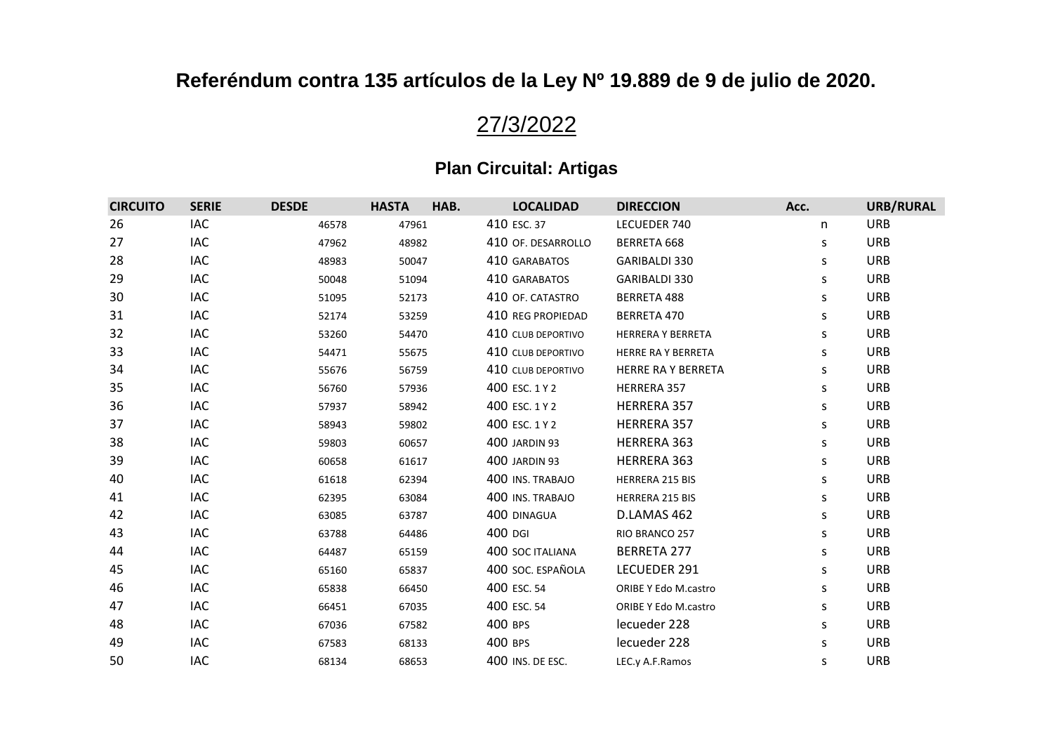# 27/3/2022

| <b>CIRCUITO</b> | <b>SERIE</b> | <b>DESDE</b> | <b>HASTA</b> | HAB. | <b>LOCALIDAD</b>     | <b>DIRECCION</b>            | Acc. | URB/RURAL  |
|-----------------|--------------|--------------|--------------|------|----------------------|-----------------------------|------|------------|
| 26              | <b>IAC</b>   | 46578        | 47961        |      | 410 ESC. 37          | LECUEDER 740                | n    | <b>URB</b> |
| 27              | IAC          | 47962        | 48982        |      | 410 OF. DESARROLLO   | BERRETA 668                 | s    | <b>URB</b> |
| 28              | <b>IAC</b>   | 48983        | 50047        |      | 410 GARABATOS        | GARIBALDI 330               | S    | <b>URB</b> |
| 29              | IAC          | 50048        | 51094        |      | 410 GARABATOS        | GARIBALDI 330               | S    | <b>URB</b> |
| 30              | <b>IAC</b>   | 51095        | 52173        |      | 410 OF. CATASTRO     | <b>BERRETA 488</b>          | S    | <b>URB</b> |
| 31              | IAC          | 52174        | 53259        |      | 410 REG PROPIEDAD    | <b>BERRETA 470</b>          | S    | <b>URB</b> |
| 32              | IAC          | 53260        | 54470        |      | 410 CLUB DEPORTIVO   | <b>HERRERA Y BERRETA</b>    | S    | <b>URB</b> |
| 33              | IAC          | 54471        | 55675        |      | 410 CLUB DEPORTIVO   | <b>HERRE RA Y BERRETA</b>   | S    | <b>URB</b> |
| 34              | <b>IAC</b>   | 55676        | 56759        |      | 410 CLUB DEPORTIVO   | <b>HERRE RA Y BERRETA</b>   | S    | <b>URB</b> |
| 35              | <b>IAC</b>   | 56760        | 57936        |      | 400 ESC. 1 Y 2       | HERRERA 357                 | s    | <b>URB</b> |
| 36              | IAC          | 57937        | 58942        |      | 400 ESC. 1 Y 2       | HERRERA 357                 | s    | <b>URB</b> |
| 37              | IAC          | 58943        | 59802        |      | 400 ESC. 1 Y 2       | <b>HERRERA 357</b>          | s    | <b>URB</b> |
| 38              | <b>IAC</b>   | 59803        | 60657        |      | <b>400 JARDIN 93</b> | HERRERA 363                 | S    | <b>URB</b> |
| 39              | <b>IAC</b>   | 60658        | 61617        |      | <b>400 JARDIN 93</b> | HERRERA 363                 | S    | <b>URB</b> |
| 40              | IAC          | 61618        | 62394        |      | 400 INS. TRABAJO     | <b>HERRERA 215 BIS</b>      | S    | <b>URB</b> |
| 41              | <b>IAC</b>   | 62395        | 63084        |      | 400 INS. TRABAJO     | HERRERA 215 BIS             | S    | <b>URB</b> |
| 42              | <b>IAC</b>   | 63085        | 63787        |      | 400 DINAGUA          | D.LAMAS 462                 | S    | <b>URB</b> |
| 43              | <b>IAC</b>   | 63788        | 64486        |      | 400 DGI              | RIO BRANCO 257              | S    | <b>URB</b> |
| 44              | <b>IAC</b>   | 64487        | 65159        |      | 400 SOC ITALIANA     | <b>BERRETA 277</b>          | S    | <b>URB</b> |
| 45              | IAC          | 65160        | 65837        |      | 400 SOC. ESPAÑOLA    | LECUEDER 291                | s    | <b>URB</b> |
| 46              | <b>IAC</b>   | 65838        | 66450        |      | 400 ESC. 54          | <b>ORIBE Y Edo M.castro</b> | S    | <b>URB</b> |
| 47              | <b>IAC</b>   | 66451        | 67035        |      | 400 ESC. 54          | <b>ORIBE Y Edo M.castro</b> | S    | <b>URB</b> |
| 48              | IAC          | 67036        | 67582        |      | 400 BPS              | lecueder 228                | S    | <b>URB</b> |
| 49              | <b>IAC</b>   | 67583        | 68133        |      | 400 BPS              | lecueder 228                | S    | <b>URB</b> |
| 50              | IAC          | 68134        | 68653        |      | 400 INS. DE ESC.     | LEC.y A.F.Ramos             | S    | <b>URB</b> |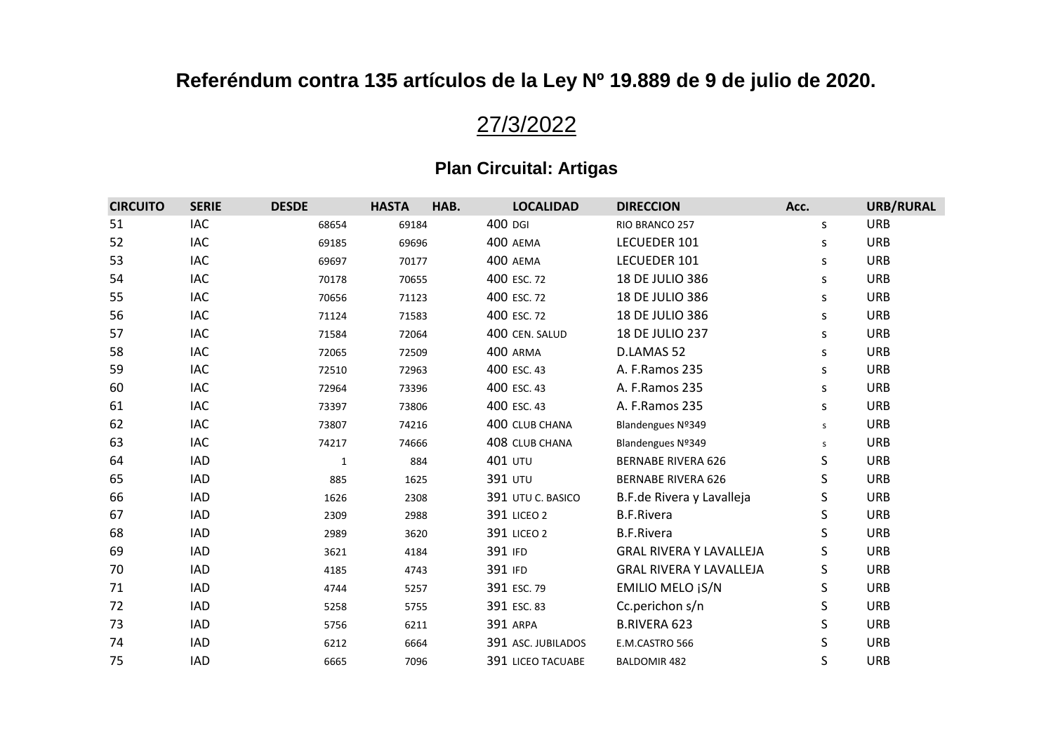# 27/3/2022

| <b>CIRCUITO</b> | <b>SERIE</b> | <b>DESDE</b> | <b>HASTA</b> | HAB.<br><b>LOCALIDAD</b> | <b>DIRECCION</b>               | Acc. | <b>URB/RURAL</b> |
|-----------------|--------------|--------------|--------------|--------------------------|--------------------------------|------|------------------|
| 51              | <b>IAC</b>   | 68654        | 69184        | 400 DGI                  | RIO BRANCO 257                 | S    | <b>URB</b>       |
| 52              | <b>IAC</b>   | 69185        | 69696        | 400 AEMA                 | LECUEDER 101                   | S    | <b>URB</b>       |
| 53              | <b>IAC</b>   | 69697        | 70177        | 400 AEMA                 | LECUEDER 101                   | S    | <b>URB</b>       |
| 54              | <b>IAC</b>   | 70178        | 70655        | 400 ESC. 72              | 18 DE JULIO 386                | S    | <b>URB</b>       |
| 55              | <b>IAC</b>   | 70656        | 71123        | 400 ESC. 72              | 18 DE JULIO 386                | S    | <b>URB</b>       |
| 56              | <b>IAC</b>   | 71124        | 71583        | 400 ESC. 72              | 18 DE JULIO 386                | S    | <b>URB</b>       |
| 57              | <b>IAC</b>   | 71584        | 72064        | 400 CEN. SALUD           | 18 DE JULIO 237                | S    | <b>URB</b>       |
| 58              | <b>IAC</b>   | 72065        | 72509        | 400 ARMA                 | D.LAMAS 52                     | S    | <b>URB</b>       |
| 59              | <b>IAC</b>   | 72510        | 72963        | 400 ESC. 43              | A. F.Ramos 235                 | S    | <b>URB</b>       |
| 60              | <b>IAC</b>   | 72964        | 73396        | 400 ESC. 43              | A. F.Ramos 235                 | S    | <b>URB</b>       |
| 61              | IAC          | 73397        | 73806        | 400 ESC. 43              | A. F.Ramos 235                 | S    | <b>URB</b>       |
| 62              | <b>IAC</b>   | 73807        | 74216        | 400 CLUB CHANA           | Blandengues Nº349              | s    | <b>URB</b>       |
| 63              | <b>IAC</b>   | 74217        | 74666        | 408 CLUB CHANA           | Blandengues Nº349              | s    | <b>URB</b>       |
| 64              | <b>IAD</b>   | $\mathbf{1}$ | 884          | <b>401 UTU</b>           | <b>BERNABE RIVERA 626</b>      | S    | <b>URB</b>       |
| 65              | <b>IAD</b>   | 885          | 1625         | <b>391 UTU</b>           | <b>BERNABE RIVERA 626</b>      | S    | <b>URB</b>       |
| 66              | <b>IAD</b>   | 1626         | 2308         | 391 UTU C. BASICO        | B.F.de Rivera y Lavalleja      | S    | <b>URB</b>       |
| 67              | <b>IAD</b>   | 2309         | 2988         | <b>391 LICEO 2</b>       | <b>B.F.Rivera</b>              | S    | <b>URB</b>       |
| 68              | <b>IAD</b>   | 2989         | 3620         | 391 LICEO 2              | <b>B.F.Rivera</b>              | S    | <b>URB</b>       |
| 69              | <b>IAD</b>   | 3621         | 4184         | 391 IFD                  | <b>GRAL RIVERA Y LAVALLEJA</b> | S    | <b>URB</b>       |
| 70              | IAD          | 4185         | 4743         | 391 IFD                  | <b>GRAL RIVERA Y LAVALLEJA</b> | S    | <b>URB</b>       |
| 71              | <b>IAD</b>   | 4744         | 5257         | 391 ESC. 79              | <b>EMILIO MELO ¡S/N</b>        | S    | <b>URB</b>       |
| 72              | <b>IAD</b>   | 5258         | 5755         | 391 ESC. 83              | Cc.perichon s/n                | S    | <b>URB</b>       |
| 73              | <b>IAD</b>   | 5756         | 6211         | <b>391 ARPA</b>          | <b>B.RIVERA 623</b>            | S    | <b>URB</b>       |
| 74              | <b>IAD</b>   | 6212         | 6664         | 391 ASC. JUBILADOS       | E.M.CASTRO 566                 | S    | <b>URB</b>       |
| 75              | <b>IAD</b>   | 6665         | 7096         | <b>391 LICEO TACUABE</b> | <b>BALDOMIR 482</b>            | S    | <b>URB</b>       |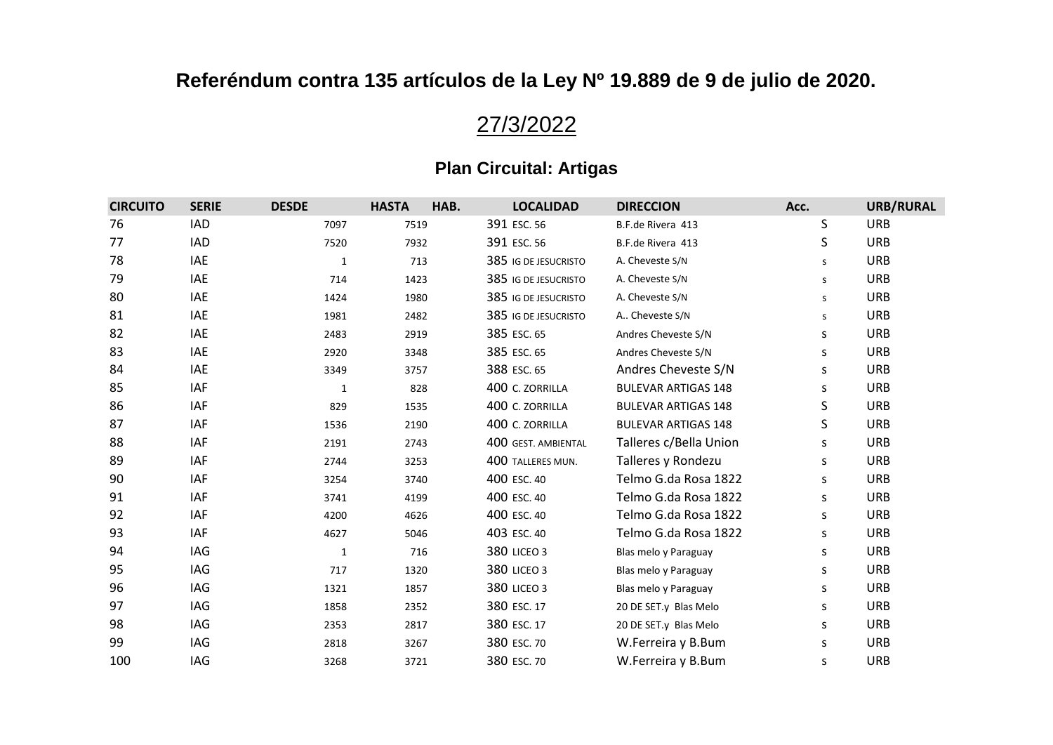# 27/3/2022

| <b>CIRCUITO</b> | <b>SERIE</b> | <b>DESDE</b> | <b>HASTA</b> | HAB. | <b>LOCALIDAD</b>     | <b>DIRECCION</b>           | Acc. | URB/RURAL  |
|-----------------|--------------|--------------|--------------|------|----------------------|----------------------------|------|------------|
| 76              | <b>IAD</b>   | 7097         | 7519         |      | 391 ESC. 56          | B.F.de Rivera 413          | S    | <b>URB</b> |
| 77              | IAD          | 7520         | 7932         |      | 391 ESC. 56          | B.F.de Rivera 413          | S    | <b>URB</b> |
| 78              | <b>IAE</b>   | $\mathbf{1}$ | 713          |      | 385 IG DE JESUCRISTO | A. Cheveste S/N            | s    | <b>URB</b> |
| 79              | IAE          | 714          | 1423         |      | 385 IG DE JESUCRISTO | A. Cheveste S/N            | s    | <b>URB</b> |
| 80              | <b>IAE</b>   | 1424         | 1980         |      | 385 IG DE JESUCRISTO | A. Cheveste S/N            | s    | <b>URB</b> |
| 81              | <b>IAE</b>   | 1981         | 2482         |      | 385 IG DE JESUCRISTO | A Cheveste S/N             | s    | <b>URB</b> |
| 82              | IAE          | 2483         | 2919         |      | 385 ESC. 65          | Andres Cheveste S/N        | S    | <b>URB</b> |
| 83              | <b>IAE</b>   | 2920         | 3348         |      | 385 ESC. 65          | Andres Cheveste S/N        | S    | <b>URB</b> |
| 84              | <b>IAE</b>   | 3349         | 3757         |      | 388 ESC. 65          | Andres Cheveste S/N        | S    | <b>URB</b> |
| 85              | <b>IAF</b>   | $\mathbf{1}$ | 828          |      | 400 C. ZORRILLA      | <b>BULEVAR ARTIGAS 148</b> | S    | <b>URB</b> |
| 86              | <b>IAF</b>   | 829          | 1535         |      | 400 C. ZORRILLA      | <b>BULEVAR ARTIGAS 148</b> | S    | <b>URB</b> |
| 87              | <b>IAF</b>   | 1536         | 2190         |      | 400 C. ZORRILLA      | <b>BULEVAR ARTIGAS 148</b> | S    | <b>URB</b> |
| 88              | <b>IAF</b>   | 2191         | 2743         |      | 400 GEST. AMBIENTAL  | Talleres c/Bella Union     | S    | <b>URB</b> |
| 89              | <b>IAF</b>   | 2744         | 3253         |      | 400 TALLERES MUN.    | Talleres y Rondezu         | S    | <b>URB</b> |
| 90              | IAF          | 3254         | 3740         |      | 400 ESC. 40          | Telmo G.da Rosa 1822       | S    | <b>URB</b> |
| 91              | <b>IAF</b>   | 3741         | 4199         |      | 400 ESC. 40          | Telmo G.da Rosa 1822       | S    | <b>URB</b> |
| 92              | <b>IAF</b>   | 4200         | 4626         |      | 400 ESC. 40          | Telmo G.da Rosa 1822       | S    | <b>URB</b> |
| 93              | <b>IAF</b>   | 4627         | 5046         |      | 403 ESC. 40          | Telmo G.da Rosa 1822       | S    | <b>URB</b> |
| 94              | IAG          | $1\,$        | 716          |      | <b>380 LICEO 3</b>   | Blas melo y Paraguay       | S    | <b>URB</b> |
| 95              | IAG          | 717          | 1320         |      | <b>380 LICEO 3</b>   | Blas melo y Paraguay       | S    | <b>URB</b> |
| 96              | IAG          | 1321         | 1857         |      | <b>380 LICEO 3</b>   | Blas melo y Paraguay       | S    | <b>URB</b> |
| 97              | IAG          | 1858         | 2352         |      | 380 ESC. 17          | 20 DE SET.y Blas Melo      | S    | <b>URB</b> |
| 98              | IAG          | 2353         | 2817         |      | 380 ESC. 17          | 20 DE SET.y Blas Melo      | s    | <b>URB</b> |
| 99              | IAG          | 2818         | 3267         |      | 380 ESC. 70          | W.Ferreira y B.Bum         | S    | <b>URB</b> |
| 100             | IAG          | 3268         | 3721         |      | 380 ESC. 70          | W.Ferreira y B.Bum         | S    | <b>URB</b> |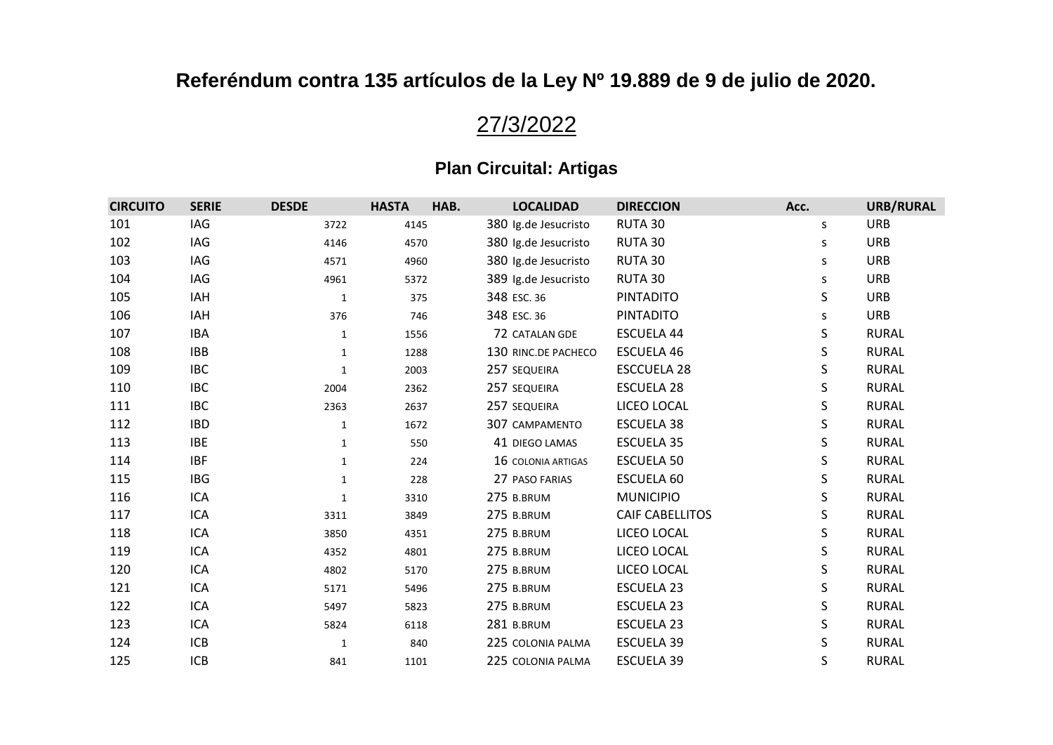# 27/3/2022

| <b>CIRCUITO</b> | <b>SERIE</b> | <b>DESDE</b> | <b>HASTA</b> | HAB. | <b>LOCALIDAD</b>     | <b>DIRECCION</b>       | Acc. | URB/RURAL    |
|-----------------|--------------|--------------|--------------|------|----------------------|------------------------|------|--------------|
| 101             | IAG          | 3722         | 4145         |      | 380 Ig.de Jesucristo | RUTA 30                | S.   | <b>URB</b>   |
| 102             | IAG          | 4146         | 4570         |      | 380 Ig.de Jesucristo | RUTA 30                | s    | <b>URB</b>   |
| 103             | IAG          | 4571         | 4960         |      | 380 Ig.de Jesucristo | RUTA 30                | S    | <b>URB</b>   |
| 104             | IAG          | 4961         | 5372         |      | 389 Ig.de Jesucristo | RUTA 30                | S    | <b>URB</b>   |
| 105             | IAH          | $\mathbf{1}$ | 375          |      | 348 ESC. 36          | <b>PINTADITO</b>       | S    | <b>URB</b>   |
| 106             | IAH          | 376          | 746          |      | 348 ESC. 36          | <b>PINTADITO</b>       | S    | <b>URB</b>   |
| 107             | <b>IBA</b>   | 1            | 1556         |      | 72 CATALAN GDE       | ESCUELA 44             | S    | <b>RURAL</b> |
| 108             | <b>IBB</b>   | $\mathbf{1}$ | 1288         |      | 130 RINC.DE PACHECO  | <b>ESCUELA 46</b>      | S    | <b>RURAL</b> |
| 109             | <b>IBC</b>   | $\mathbf{1}$ | 2003         |      | 257 SEQUEIRA         | <b>ESCCUELA 28</b>     | S    | <b>RURAL</b> |
| 110             | <b>IBC</b>   | 2004         | 2362         |      | 257 SEQUEIRA         | <b>ESCUELA 28</b>      | S    | <b>RURAL</b> |
| 111             | <b>IBC</b>   | 2363         | 2637         |      | 257 SEQUEIRA         | LICEO LOCAL            | S    | <b>RURAL</b> |
| 112             | <b>IBD</b>   | 1            | 1672         |      | 307 CAMPAMENTO       | ESCUELA 38             | S    | <b>RURAL</b> |
| 113             | <b>IBE</b>   | $\mathbf{1}$ | 550          |      | 41 DIEGO LAMAS       | <b>ESCUELA 35</b>      | S    | <b>RURAL</b> |
| 114             | <b>IBF</b>   | $\mathbf{1}$ | 224          |      | 16 COLONIA ARTIGAS   | <b>ESCUELA 50</b>      | S    | <b>RURAL</b> |
| 115             | <b>IBG</b>   | $\mathbf{1}$ | 228          |      | 27 PASO FARIAS       | ESCUELA 60             | S    | <b>RURAL</b> |
| 116             | ICA          | $\mathbf{1}$ | 3310         |      | 275 B.BRUM           | <b>MUNICIPIO</b>       | S    | <b>RURAL</b> |
| 117             | ICA          | 3311         | 3849         |      | 275 B.BRUM           | <b>CAIF CABELLITOS</b> | S    | <b>RURAL</b> |
| 118             | ICA          | 3850         | 4351         |      | 275 B.BRUM           | LICEO LOCAL            | S    | <b>RURAL</b> |
| 119             | ICA          | 4352         | 4801         |      | 275 B.BRUM           | LICEO LOCAL            | S    | <b>RURAL</b> |
| 120             | ICA          | 4802         | 5170         |      | 275 B.BRUM           | LICEO LOCAL            | S    | <b>RURAL</b> |
| 121             | ICA          | 5171         | 5496         |      | 275 B.BRUM           | ESCUELA 23             | S    | <b>RURAL</b> |
| 122             | ICA          | 5497         | 5823         |      | 275 B.BRUM           | <b>ESCUELA 23</b>      | S    | <b>RURAL</b> |
| 123             | ICA          | 5824         | 6118         |      | 281 B.BRUM           | ESCUELA 23             | S    | <b>RURAL</b> |
| 124             | <b>ICB</b>   | $\mathbf{1}$ | 840          |      | 225 COLONIA PALMA    | <b>ESCUELA 39</b>      | S    | <b>RURAL</b> |
| 125             | <b>ICB</b>   | 841          | 1101         |      | 225 COLONIA PALMA    | <b>ESCUELA 39</b>      | S    | <b>RURAL</b> |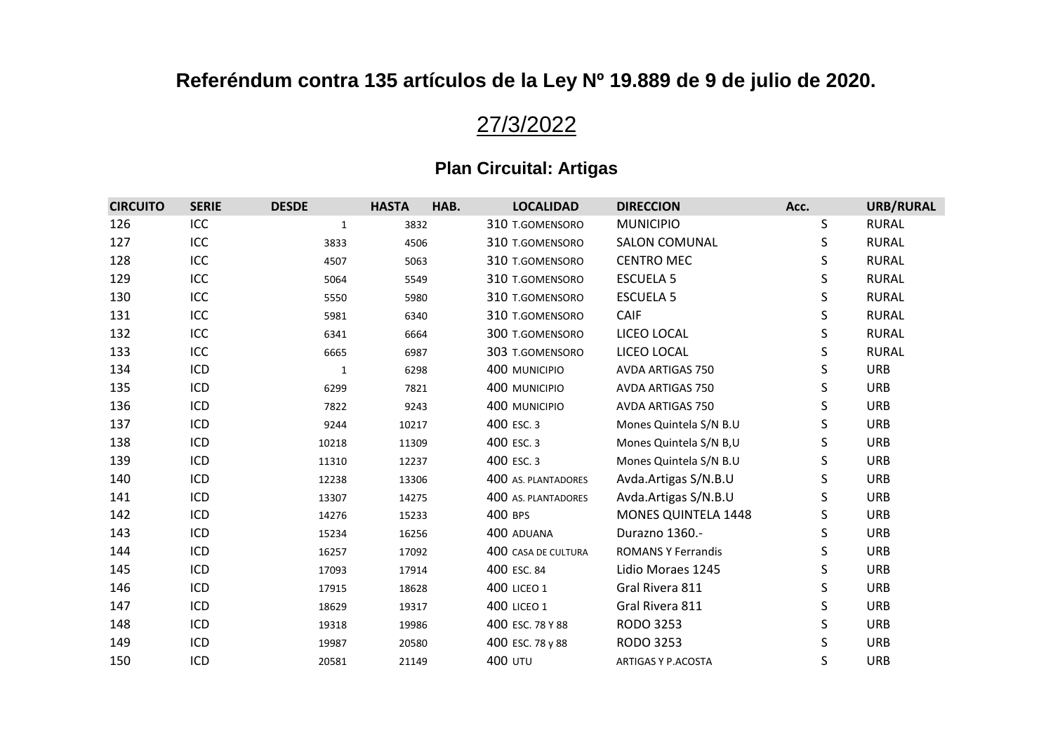# 27/3/2022

| <b>CIRCUITO</b> | <b>SERIE</b> | <b>DESDE</b> | <b>HASTA</b> | HAB. | <b>LOCALIDAD</b>    | <b>DIRECCION</b>           | Acc. | URB/RURAL    |
|-----------------|--------------|--------------|--------------|------|---------------------|----------------------------|------|--------------|
| 126             | ICC          | $\mathbf{1}$ | 3832         |      | 310 T.GOMENSORO     | <b>MUNICIPIO</b>           | S    | <b>RURAL</b> |
| 127             | ICC          | 3833         | 4506         |      | 310 T.GOMENSORO     | <b>SALON COMUNAL</b>       | S    | <b>RURAL</b> |
| 128             | ICC          | 4507         | 5063         |      | 310 T.GOMENSORO     | <b>CENTRO MEC</b>          | S    | <b>RURAL</b> |
| 129             | ICC          | 5064         | 5549         |      | 310 T.GOMENSORO     | <b>ESCUELA 5</b>           | S    | <b>RURAL</b> |
| 130             | ICC          | 5550         | 5980         |      | 310 T.GOMENSORO     | <b>ESCUELA 5</b>           | S    | <b>RURAL</b> |
| 131             | ICC          | 5981         | 6340         |      | 310 T.GOMENSORO     | CAIF                       | S    | <b>RURAL</b> |
| 132             | ICC          | 6341         | 6664         |      | 300 T.GOMENSORO     | LICEO LOCAL                | S    | <b>RURAL</b> |
| 133             | ICC          | 6665         | 6987         |      | 303 T.GOMENSORO     | LICEO LOCAL                | S    | <b>RURAL</b> |
| 134             | ICD          | $\mathbf{1}$ | 6298         |      | 400 MUNICIPIO       | AVDA ARTIGAS 750           | S    | <b>URB</b>   |
| 135             | ICD          | 6299         | 7821         |      | 400 MUNICIPIO       | AVDA ARTIGAS 750           | S    | <b>URB</b>   |
| 136             | ICD          | 7822         | 9243         |      | 400 MUNICIPIO       | <b>AVDA ARTIGAS 750</b>    | S    | <b>URB</b>   |
| 137             | ICD          | 9244         | 10217        |      | 400 ESC. 3          | Mones Quintela S/N B.U     | S    | <b>URB</b>   |
| 138             | ICD          | 10218        | 11309        |      | 400 ESC. 3          | Mones Quintela S/N B,U     | S    | <b>URB</b>   |
| 139             | ICD          | 11310        | 12237        |      | 400 ESC. 3          | Mones Quintela S/N B.U     | S    | <b>URB</b>   |
| 140             | ICD          | 12238        | 13306        |      | 400 AS. PLANTADORES | Avda.Artigas S/N.B.U       | S    | <b>URB</b>   |
| 141             | ICD          | 13307        | 14275        |      | 400 AS. PLANTADORES | Avda.Artigas S/N.B.U       | S    | <b>URB</b>   |
| 142             | ICD          | 14276        | 15233        |      | 400 BPS             | <b>MONES QUINTELA 1448</b> | S    | <b>URB</b>   |
| 143             | ICD          | 15234        | 16256        |      | 400 ADUANA          | Durazno 1360 .-            | S    | <b>URB</b>   |
| 144             | ICD          | 16257        | 17092        |      | 400 CASA DE CULTURA | <b>ROMANS Y Ferrandis</b>  | S    | <b>URB</b>   |
| 145             | ICD          | 17093        | 17914        |      | 400 ESC. 84         | Lidio Moraes 1245          | S    | <b>URB</b>   |
| 146             | ICD          | 17915        | 18628        |      | <b>400 LICEO 1</b>  | Gral Rivera 811            | S    | <b>URB</b>   |
| 147             | ICD          | 18629        | 19317        |      | <b>400 LICEO 1</b>  | Gral Rivera 811            | S    | <b>URB</b>   |
| 148             | ICD          | 19318        | 19986        |      | 400 ESC. 78 Y 88    | RODO 3253                  | S    | <b>URB</b>   |
| 149             | ICD          | 19987        | 20580        |      | 400 ESC. 78 y 88    | RODO 3253                  | S    | <b>URB</b>   |
| 150             | ICD          | 20581        | 21149        |      | <b>400 UTU</b>      | ARTIGAS Y P.ACOSTA         | S    | <b>URB</b>   |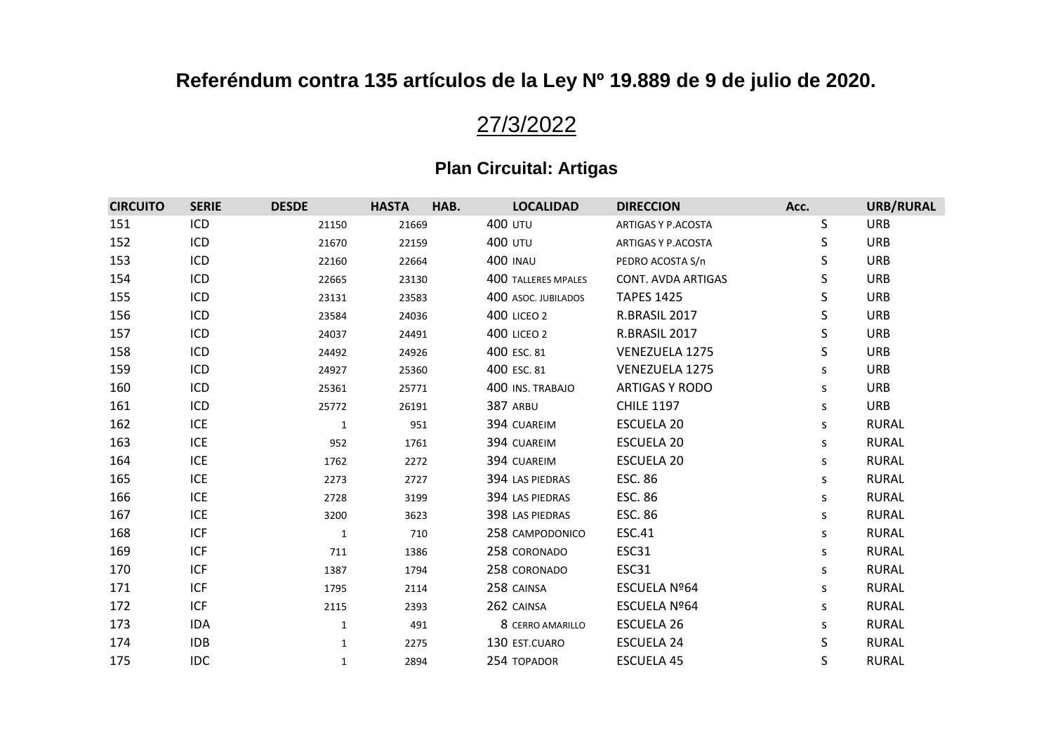# 27/3/2022

| <b>CIRCUITO</b> | <b>SERIE</b> | <b>DESDE</b> | <b>HASTA</b> | HAB.<br><b>LOCALIDAD</b>   | <b>DIRECCION</b>          | Acc. | <b>URB/RURAL</b> |
|-----------------|--------------|--------------|--------------|----------------------------|---------------------------|------|------------------|
| 151             | ICD          | 21150        | 21669        | <b>400 UTU</b>             | ARTIGAS Y P.ACOSTA        | S    | <b>URB</b>       |
| 152             | ICD          | 21670        | 22159        | <b>400 UTU</b>             | ARTIGAS Y P.ACOSTA        | S    | <b>URB</b>       |
| 153             | ICD          | 22160        | 22664        | <b>400 INAU</b>            | PEDRO ACOSTA S/n          | S    | <b>URB</b>       |
| 154             | ICD          | 22665        | 23130        | <b>400 TALLERES MPALES</b> | <b>CONT. AVDA ARTIGAS</b> | S    | <b>URB</b>       |
| 155             | ICD          | 23131        | 23583        | 400 ASOC. JUBILADOS        | <b>TAPES 1425</b>         | S    | <b>URB</b>       |
| 156             | ICD          | 23584        | 24036        | <b>400 LICEO 2</b>         | R.BRASIL 2017             | S    | <b>URB</b>       |
| 157             | ICD          | 24037        | 24491        | <b>400 LICEO 2</b>         | R.BRASIL 2017             | S    | <b>URB</b>       |
| 158             | ICD          | 24492        | 24926        | 400 ESC. 81                | VENEZUELA 1275            | S    | <b>URB</b>       |
| 159             | ICD          | 24927        | 25360        | 400 ESC. 81                | <b>VENEZUELA 1275</b>     | S    | <b>URB</b>       |
| 160             | ICD          | 25361        | 25771        | 400 INS. TRABAJO           | <b>ARTIGAS Y RODO</b>     | S    | <b>URB</b>       |
| 161             | ICD          | 25772        | 26191        | 387 ARBU                   | <b>CHILE 1197</b>         | S    | <b>URB</b>       |
| 162             | ICE          | $\mathbf{1}$ | 951          | 394 CUAREIM                | <b>ESCUELA 20</b>         | S    | <b>RURAL</b>     |
| 163             | ICE          | 952          | 1761         | 394 CUAREIM                | <b>ESCUELA 20</b>         | S    | <b>RURAL</b>     |
| 164             | ICE          | 1762         | 2272         | 394 CUAREIM                | <b>ESCUELA 20</b>         | S    | <b>RURAL</b>     |
| 165             | ICE          | 2273         | 2727         | 394 LAS PIEDRAS            | <b>ESC. 86</b>            | S    | <b>RURAL</b>     |
| 166             | <b>ICE</b>   | 2728         | 3199         | 394 LAS PIEDRAS            | <b>ESC. 86</b>            | S    | <b>RURAL</b>     |
| 167             | <b>ICE</b>   | 3200         | 3623         | 398 LAS PIEDRAS            | <b>ESC. 86</b>            | S    | <b>RURAL</b>     |
| 168             | ICF          | $\mathbf{1}$ | 710          | 258 CAMPODONICO            | <b>ESC.41</b>             | S    | <b>RURAL</b>     |
| 169             | <b>ICF</b>   | 711          | 1386         | 258 CORONADO               | ESC31                     | S    | <b>RURAL</b>     |
| 170             | <b>ICF</b>   | 1387         | 1794         | 258 CORONADO               | ESC31                     | S    | <b>RURAL</b>     |
| 171             | <b>ICF</b>   | 1795         | 2114         | 258 CAINSA                 | ESCUELA Nº64              | S    | <b>RURAL</b>     |
| 172             | ICF          | 2115         | 2393         | 262 CAINSA                 | ESCUELA Nº64              | S    | <b>RURAL</b>     |
| 173             | <b>IDA</b>   | $\mathbf{1}$ | 491          | 8 CERRO AMARILLO           | <b>ESCUELA 26</b>         | s    | <b>RURAL</b>     |
| 174             | <b>IDB</b>   | $\mathbf{1}$ | 2275         | 130 EST.CUARO              | <b>ESCUELA 24</b>         | S    | <b>RURAL</b>     |
| 175             | <b>IDC</b>   | 1            | 2894         | 254 TOPADOR                | <b>ESCUELA 45</b>         | S    | <b>RURAL</b>     |